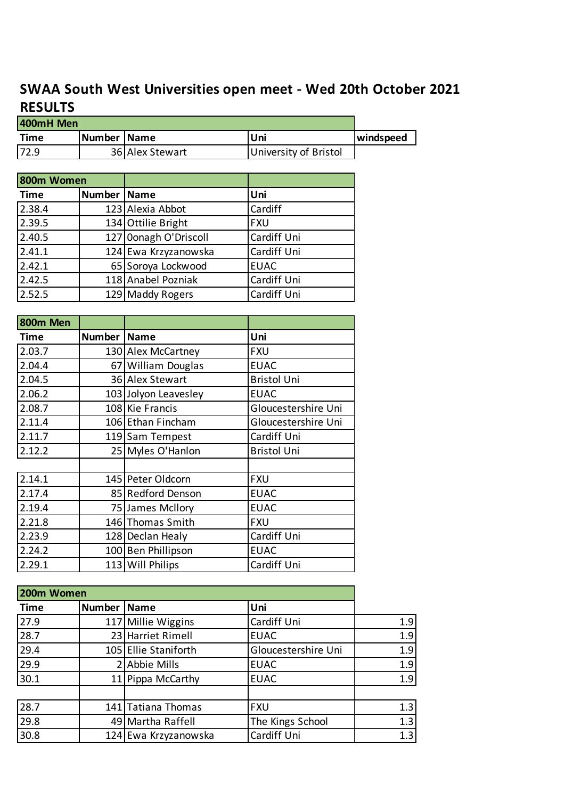## **SWAA South West Universities open meet - Wed 20th October 2021 RESULTS**

| 400mH Men   |               |                      |                       |           |
|-------------|---------------|----------------------|-----------------------|-----------|
| <b>Time</b> | <b>Number</b> | <b>Name</b>          | Uni                   | windspeed |
| 72.9        |               | 36 Alex Stewart      | University of Bristol |           |
|             |               |                      |                       |           |
| 800m Women  |               |                      |                       |           |
| Time        | Number        | <b>Name</b>          | Uni                   |           |
| 2.38.4      |               | 123 Alexia Abbot     | Cardiff               |           |
| 2.39.5      |               | 134 Ottilie Bright   | <b>FXU</b>            |           |
| 2.40.5      | 127           | Oonagh O'Driscoll    | Cardiff Uni           |           |
| 2.41.1      |               | 124 Ewa Krzyzanowska | Cardiff Uni           |           |
| 2.42.1      |               | 65 Soroya Lockwood   | <b>EUAC</b>           |           |
| 2.42.5      |               | 118 Anabel Pozniak   | Cardiff Uni           |           |
| 2.52.5      |               | 129 Maddy Rogers     | Cardiff Uni           |           |
|             |               |                      |                       |           |

| 800m Men |                      |                      |                     |
|----------|----------------------|----------------------|---------------------|
| Time     | <b>Number   Name</b> |                      | Uni                 |
| 2.03.7   |                      | 130 Alex McCartney   | <b>FXU</b>          |
| 2.04.4   |                      | 67 William Douglas   | <b>EUAC</b>         |
| 2.04.5   |                      | 36 Alex Stewart      | <b>Bristol Uni</b>  |
| 2.06.2   |                      | 103 Jolyon Leavesley | <b>EUAC</b>         |
| 2.08.7   |                      | 108 Kie Francis      | Gloucestershire Uni |
| 2.11.4   |                      | 106 Ethan Fincham    | Gloucestershire Uni |
| 2.11.7   |                      | 119 Sam Tempest      | Cardiff Uni         |
| 2.12.2   |                      | 25 Myles O'Hanlon    | <b>Bristol Uni</b>  |
|          |                      |                      |                     |
| 2.14.1   |                      | 145 Peter Oldcorn    | <b>FXU</b>          |
| 2.17.4   |                      | 85 Redford Denson    | <b>EUAC</b>         |
| 2.19.4   |                      | 75 James Mcllory     | <b>EUAC</b>         |
| 2.21.8   |                      | 146 Thomas Smith     | <b>FXU</b>          |
| 2.23.9   |                      | 128 Declan Healy     | Cardiff Uni         |
| 2.24.2   |                      | 100 Ben Phillipson   | <b>EUAC</b>         |
| 2.29.1   |                      | 113 Will Philips     | Cardiff Uni         |

| 200m Women  |        |                      |                     |     |
|-------------|--------|----------------------|---------------------|-----|
| <b>Time</b> | Number | <b>Name</b>          | Uni                 |     |
| 27.9        |        | 117 Millie Wiggins   | Cardiff Uni         | 1.9 |
| 28.7        |        | 23 Harriet Rimell    | <b>EUAC</b>         | 1.9 |
| 29.4        |        | 105 Ellie Staniforth | Gloucestershire Uni | 1.9 |
| 29.9        |        | 2 Abbie Mills        | <b>EUAC</b>         | 1.9 |
| 30.1        |        | 11 Pippa McCarthy    | <b>EUAC</b>         | 1.9 |
|             |        |                      |                     |     |
| 28.7        |        | 141 Tatiana Thomas   | <b>FXU</b>          | 1.3 |
| 29.8        |        | 49 Martha Raffell    | The Kings School    | 1.3 |
| 30.8        |        | 124 Ewa Krzyzanowska | Cardiff Uni         | 1.3 |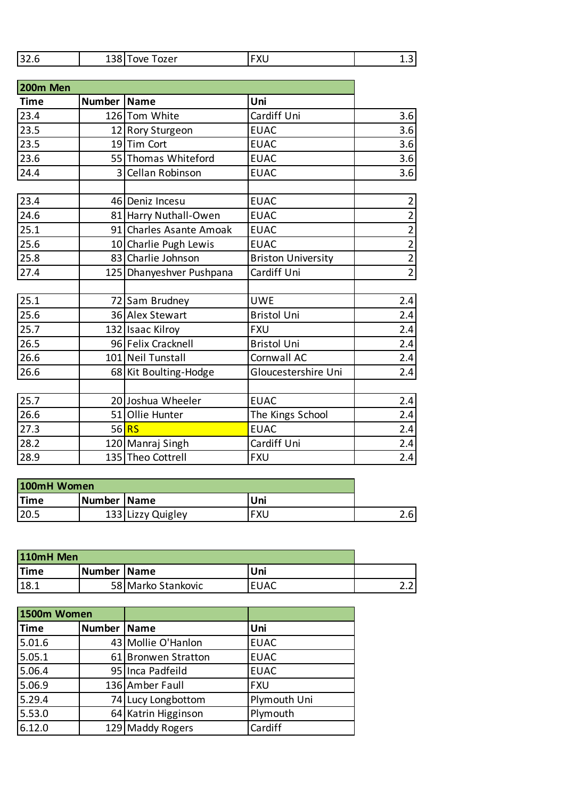| ם בכו<br>ozer<br>wЕ<br>34.0<br>гль<br>∸… |
|------------------------------------------|
|------------------------------------------|

| 200m Men    |        |                          |                           |                |
|-------------|--------|--------------------------|---------------------------|----------------|
| <b>Time</b> | Number | <b>Name</b>              | Uni                       |                |
| 23.4        |        | 126 Tom White            | Cardiff Uni               | 3.6            |
| 23.5        |        | 12 Rory Sturgeon         | <b>EUAC</b>               | 3.6            |
| 23.5        |        | 19 Tim Cort              | <b>EUAC</b>               | 3.6            |
| 23.6        |        | 55 Thomas Whiteford      | <b>EUAC</b>               | 3.6            |
| 24.4        | 3      | Cellan Robinson          | <b>EUAC</b>               | 3.6            |
|             |        |                          |                           |                |
| 23.4        |        | 46 Deniz Incesu          | <b>EUAC</b>               | $\overline{2}$ |
| 24.6        |        | 81 Harry Nuthall-Owen    | <b>EUAC</b>               | $\overline{2}$ |
| 25.1        |        | 91 Charles Asante Amoak  | <b>EUAC</b>               | $\overline{2}$ |
| 25.6        |        | 10 Charlie Pugh Lewis    | <b>EUAC</b>               | $\overline{2}$ |
| 25.8        |        | 83 Charlie Johnson       | <b>Briston University</b> | $\overline{2}$ |
| 27.4        |        | 125 Dhanyeshver Pushpana | Cardiff Uni               | $\overline{2}$ |
|             |        |                          |                           |                |
| 25.1        |        | 72 Sam Brudney           | <b>UWE</b>                | 2.4            |
| 25.6        |        | 36 Alex Stewart          | <b>Bristol Uni</b>        | 2.4            |
| 25.7        |        | 132 Isaac Kilroy         | <b>FXU</b>                | 2.4            |
| 26.5        |        | 96 Felix Cracknell       | <b>Bristol Uni</b>        | 2.4            |
| 26.6        |        | 101 Neil Tunstall        | Cornwall AC               | 2.4            |
| 26.6        |        | 68 Kit Boulting-Hodge    | Gloucestershire Uni       | 2.4            |
|             |        |                          |                           |                |
| 25.7        |        | 20 Joshua Wheeler        | <b>EUAC</b>               | 2.4            |
| 26.6        |        | 51 Ollie Hunter          | The Kings School          | 2.4            |
| 27.3        |        | 56 RS                    | <b>EUAC</b>               | 2.4            |
| 28.2        |        | 120 Manraj Singh         | Cardiff Uni               | 2.4            |
| 28.9        |        | 135 Theo Cottrell        | <b>FXU</b>                | 2.4            |

| 100mH Women |               |                   |     |     |
|-------------|---------------|-------------------|-----|-----|
| <b>Time</b> | Number   Name |                   | Uni |     |
| 20.5        |               | 133 Lizzy Quigley | FXU | 2.6 |

| 110mH Men   |               |                    |             |    |
|-------------|---------------|--------------------|-------------|----|
| <b>Time</b> | Number   Name |                    | Uni         |    |
| 18.1        |               | 58 Marko Stankovic | <b>EUAC</b> | ົ່ |

| 1500m Women |               |                     |              |
|-------------|---------------|---------------------|--------------|
| Time        | Number   Name |                     | Uni          |
| 5.01.6      |               | 43 Mollie O'Hanlon  | <b>EUAC</b>  |
| 5.05.1      |               | 61 Bronwen Stratton | <b>EUAC</b>  |
| 5.06.4      |               | 95 Inca Padfeild    | <b>EUAC</b>  |
| 5.06.9      |               | 136 Amber Faull     | <b>FXU</b>   |
| 5.29.4      |               | 74 Lucy Longbottom  | Plymouth Uni |
| 5.53.0      |               | 64 Katrin Higginson | Plymouth     |
| 6.12.0      |               | 129 Maddy Rogers    | Cardiff      |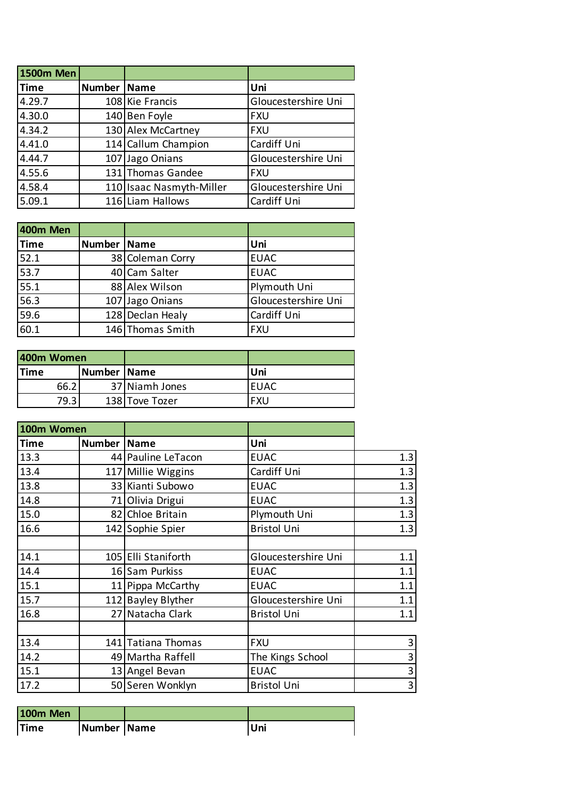| <b>1500m Men</b> |               |                          |                     |
|------------------|---------------|--------------------------|---------------------|
| <b>Time</b>      | Number   Name |                          | Uni                 |
| 4.29.7           |               | 108 Kie Francis          | Gloucestershire Uni |
| 4.30.0           |               | 140 Ben Foyle            | <b>FXU</b>          |
| 4.34.2           |               | 130 Alex McCartney       | <b>FXU</b>          |
| 4.41.0           |               | 114 Callum Champion      | Cardiff Uni         |
| 4.44.7           |               | 107 Jago Onians          | Gloucestershire Uni |
| 4.55.6           |               | 131 Thomas Gandee        | <b>FXU</b>          |
| 4.58.4           |               | 110 Isaac Nasmyth-Miller | Gloucestershire Uni |
| 5.09.1           |               | 116 Liam Hallows         | Cardiff Uni         |

| 400m Men    |               |                  |                     |
|-------------|---------------|------------------|---------------------|
| <b>Time</b> | Number   Name |                  | Uni                 |
| 52.1        |               | 38 Coleman Corry | <b>EUAC</b>         |
| 53.7        |               | 40 Cam Salter    | <b>EUAC</b>         |
| 55.1        |               | 88 Alex Wilson   | Plymouth Uni        |
| 56.3        |               | 107 Jago Onians  | Gloucestershire Uni |
| 59.6        |               | 128 Declan Healy | Cardiff Uni         |
| 60.1        |               | 146 Thomas Smith | <b>FXU</b>          |

| 400m Women  |               |                |             |
|-------------|---------------|----------------|-------------|
| <b>Time</b> | Number   Name |                | Uni         |
| 66.2        |               | 37 Niamh Jones | <b>EUAC</b> |
| 79.3        |               | 138 Tove Tozer | FXU         |

| 100m Women  |               |                     |                     |                         |
|-------------|---------------|---------------------|---------------------|-------------------------|
| <b>Time</b> | Number   Name |                     | Uni                 |                         |
| 13.3        |               | 44 Pauline LeTacon  | <b>EUAC</b>         | 1.3                     |
| 13.4        |               | 117 Millie Wiggins  | Cardiff Uni         | 1.3                     |
| 13.8        |               | 33 Kianti Subowo    | <b>EUAC</b>         | 1.3                     |
| 14.8        |               | 71 Olivia Drigui    | <b>EUAC</b>         | 1.3                     |
| 15.0        |               | 82 Chloe Britain    | Plymouth Uni        | 1.3                     |
| 16.6        |               | 142 Sophie Spier    | <b>Bristol Uni</b>  | 1.3                     |
|             |               |                     |                     |                         |
| 14.1        |               | 105 Elli Staniforth | Gloucestershire Uni | 1.1                     |
| 14.4        |               | 16 Sam Purkiss      | <b>EUAC</b>         | 1.1                     |
| 15.1        |               | 11 Pippa McCarthy   | <b>EUAC</b>         | 1.1                     |
| 15.7        |               | 112 Bayley Blyther  | Gloucestershire Uni | 1.1                     |
| 16.8        |               | 27 Natacha Clark    | <b>Bristol Uni</b>  | 1.1                     |
|             |               |                     |                     |                         |
| 13.4        |               | 141 Tatiana Thomas  | <b>FXU</b>          | 3                       |
| 14.2        |               | 49 Martha Raffell   | The Kings School    | 3                       |
| 15.1        |               | 13 Angel Bevan      | <b>EUAC</b>         | 3                       |
| 17.2        |               | 50 Seren Wonklyn    | <b>Bristol Uni</b>  | $\overline{\mathbf{3}}$ |

| <b>100m Men</b> |               |     |
|-----------------|---------------|-----|
| <b>Time</b>     | Number   Name | Uni |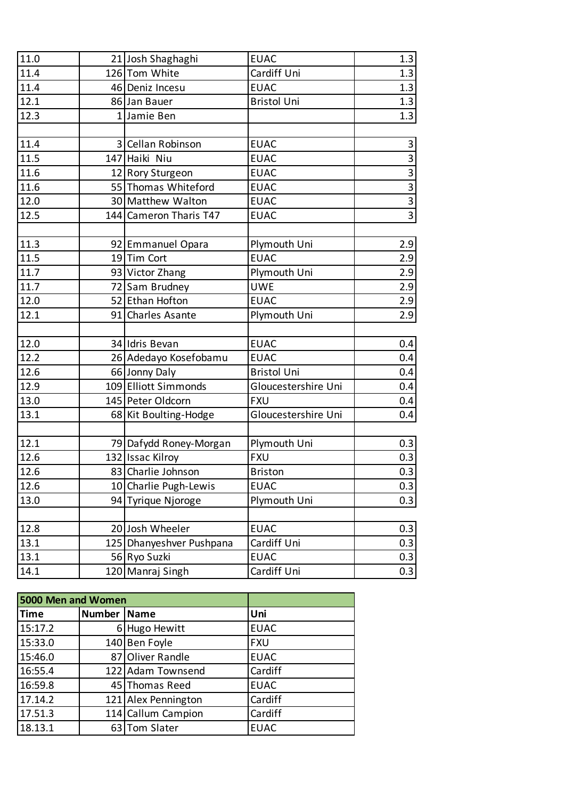| 11.0 | 21 Josh Shaghaghi        | <b>EUAC</b>         | 1.3            |
|------|--------------------------|---------------------|----------------|
| 11.4 | 126 Tom White            | Cardiff Uni         | 1.3            |
| 11.4 | 46 Deniz Incesu          | <b>EUAC</b>         | 1.3            |
| 12.1 | 86 Jan Bauer             | <b>Bristol Uni</b>  | 1.3            |
| 12.3 | 1 Jamie Ben              |                     | 1.3            |
|      |                          |                     |                |
| 11.4 | 3 Cellan Robinson        | <b>EUAC</b>         | 3              |
| 11.5 | 147 Haiki Niu            | <b>EUAC</b>         | $\overline{3}$ |
| 11.6 | 12 Rory Sturgeon         | <b>EUAC</b>         | $\overline{3}$ |
| 11.6 | 55 Thomas Whiteford      | <b>EUAC</b>         | $\overline{3}$ |
| 12.0 | 30 Matthew Walton        | <b>EUAC</b>         | $\frac{3}{3}$  |
| 12.5 | 144 Cameron Tharis T47   | <b>EUAC</b>         |                |
|      |                          |                     |                |
| 11.3 | 92 Emmanuel Opara        | Plymouth Uni        | 2.9            |
| 11.5 | 19Tim Cort               | <b>EUAC</b>         | 2.9            |
| 11.7 | 93 Victor Zhang          | Plymouth Uni        | 2.9            |
| 11.7 | 72 Sam Brudney           | UWE                 | 2.9            |
| 12.0 | 52 Ethan Hofton          | <b>EUAC</b>         | 2.9            |
| 12.1 | 91 Charles Asante        | Plymouth Uni        | 2.9            |
|      |                          |                     |                |
| 12.0 | 34 Idris Bevan           | <b>EUAC</b>         | 0.4            |
| 12.2 | 26 Adedayo Kosefobamu    | <b>EUAC</b>         | 0.4            |
| 12.6 | 66 Jonny Daly            | <b>Bristol Uni</b>  | 0.4            |
| 12.9 | 109 Elliott Simmonds     | Gloucestershire Uni | 0.4            |
| 13.0 | 145 Peter Oldcorn        | <b>FXU</b>          | 0.4            |
| 13.1 | 68 Kit Boulting-Hodge    | Gloucestershire Uni | 0.4            |
|      |                          |                     |                |
| 12.1 | 79 Dafydd Roney-Morgan   | Plymouth Uni        | 0.3            |
| 12.6 | 132 Issac Kilroy         | <b>FXU</b>          | 0.3            |
| 12.6 | 83 Charlie Johnson       | <b>Briston</b>      | 0.3            |
| 12.6 | 10 Charlie Pugh-Lewis    | <b>EUAC</b>         | 0.3            |
| 13.0 | 94 Tyrique Njoroge       | Plymouth Uni        | 0.3            |
|      |                          |                     |                |
| 12.8 | 20 Josh Wheeler          | <b>EUAC</b>         | 0.3            |
| 13.1 | 125 Dhanyeshver Pushpana | Cardiff Uni         | 0.3            |
| 13.1 | 56 Ryo Suzki             | <b>EUAC</b>         | 0.3            |
| 14.1 | 120 Manraj Singh         | Cardiff Uni         | 0.3            |

| 5000 Men and Women |        |                     |             |  |
|--------------------|--------|---------------------|-------------|--|
| <b>Time</b>        | Number | <b>Name</b>         | Uni         |  |
| 15:17.2            |        | 6 Hugo Hewitt       | <b>EUAC</b> |  |
| 15:33.0            |        | 140 Ben Foyle       | <b>FXU</b>  |  |
| 15:46.0            |        | 87 Oliver Randle    | <b>EUAC</b> |  |
| 16:55.4            |        | 122 Adam Townsend   | Cardiff     |  |
| 16:59.8            |        | 45 Thomas Reed      | <b>EUAC</b> |  |
| 17.14.2            |        | 121 Alex Pennington | Cardiff     |  |
| 17.51.3            |        | 114 Callum Campion  | Cardiff     |  |
| 18.13.1            |        | 63 Tom Slater       | <b>EUAC</b> |  |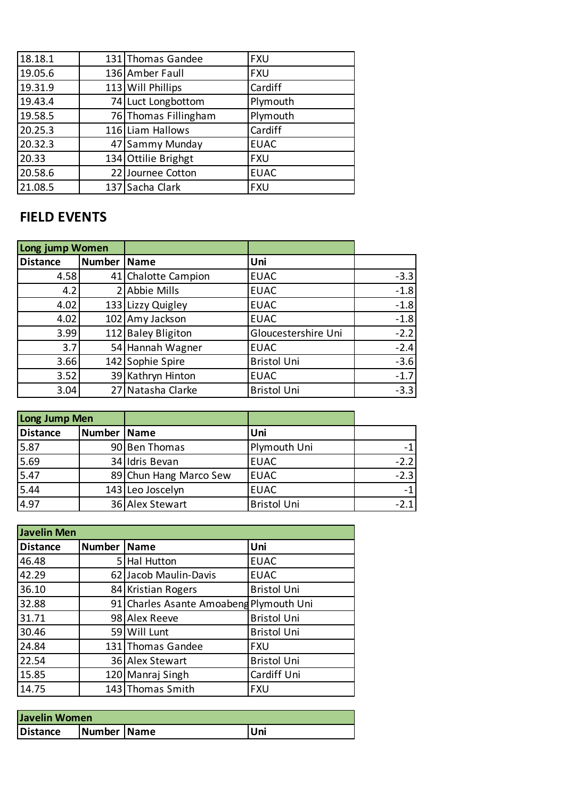| 18.18.1 | 131 Thomas Gandee    | <b>FXU</b>  |
|---------|----------------------|-------------|
| 19.05.6 | 136 Amber Faull      | <b>FXU</b>  |
| 19.31.9 | 113 Will Phillips    | Cardiff     |
| 19.43.4 | 74 Luct Longbottom   | Plymouth    |
| 19.58.5 | 76 Thomas Fillingham | Plymouth    |
| 20.25.3 | 116 Liam Hallows     | Cardiff     |
| 20.32.3 | 47 Sammy Munday      | <b>EUAC</b> |
| 20.33   | 134 Ottilie Brighgt  | <b>FXU</b>  |
| 20.58.6 | 22 Journee Cotton    | <b>EUAC</b> |
| 21.08.5 | 137 Sacha Clark      | <b>FXU</b>  |

## **FIELD EVENTS**

| Long jump Women |        |                     |                     |        |
|-----------------|--------|---------------------|---------------------|--------|
| <b>Distance</b> | Number | <b>Name</b>         | Uni                 |        |
| 4.58            |        | 41 Chalotte Campion | <b>EUAC</b>         | $-3.3$ |
| 4.2             |        | 2 Abbie Mills       | <b>EUAC</b>         | $-1.8$ |
| 4.02            |        | 133 Lizzy Quigley   | <b>EUAC</b>         | $-1.8$ |
| 4.02            |        | 102 Amy Jackson     | <b>EUAC</b>         | $-1.8$ |
| 3.99            |        | 112 Baley Bligiton  | Gloucestershire Uni | $-2.2$ |
| 3.7             |        | 54 Hannah Wagner    | <b>EUAC</b>         | $-2.4$ |
| 3.66            |        | 142 Sophie Spire    | <b>Bristol Uni</b>  | $-3.6$ |
| 3.52            |        | 39 Kathryn Hinton   | <b>EUAC</b>         | $-1.7$ |
| 3.04            |        | 27 Natasha Clarke   | <b>Bristol Uni</b>  | $-3.3$ |

| Long Jump Men   |               |                        |                    |        |
|-----------------|---------------|------------------------|--------------------|--------|
| <b>Distance</b> | Number   Name |                        | Uni                |        |
| 5.87            |               | 90 Ben Thomas          | Plymouth Uni       | -1     |
| 5.69            |               | 34 Idris Bevan         | <b>EUAC</b>        | $-2.2$ |
| 5.47            |               | 89 Chun Hang Marco Sew | <b>EUAC</b>        | $-2.3$ |
| 5.44            |               | 143 Leo Joscelyn       | <b>EUAC</b>        | $-1$   |
| 4.97            |               | 36 Alex Stewart        | <b>Bristol Uni</b> | $-21$  |

| <b>Javelin Men</b> |               |                                         |                    |  |
|--------------------|---------------|-----------------------------------------|--------------------|--|
| <b>Distance</b>    | Number   Name |                                         | Uni                |  |
| 46.48              |               | 5 Hal Hutton                            | <b>EUAC</b>        |  |
| 42.29              |               | 62 Jacob Maulin-Davis                   | <b>EUAC</b>        |  |
| 36.10              |               | 84 Kristian Rogers                      | <b>Bristol Uni</b> |  |
| 32.88              |               | 91 Charles Asante Amoabeng Plymouth Uni |                    |  |
| 31.71              |               | 98 Alex Reeve                           | <b>Bristol Uni</b> |  |
| 30.46              |               | 59 Will Lunt                            | <b>Bristol Uni</b> |  |
| 24.84              |               | 131 Thomas Gandee                       | <b>FXU</b>         |  |
| 22.54              |               | 36 Alex Stewart                         | <b>Bristol Uni</b> |  |
| 15.85              |               | 120 Manraj Singh                        | Cardiff Uni        |  |
| 14.75              |               | 143 Thomas Smith                        | <b>FXU</b>         |  |

| Javelin Women   |             |  |     |
|-----------------|-------------|--|-----|
| <b>Distance</b> | Number Name |  | Uni |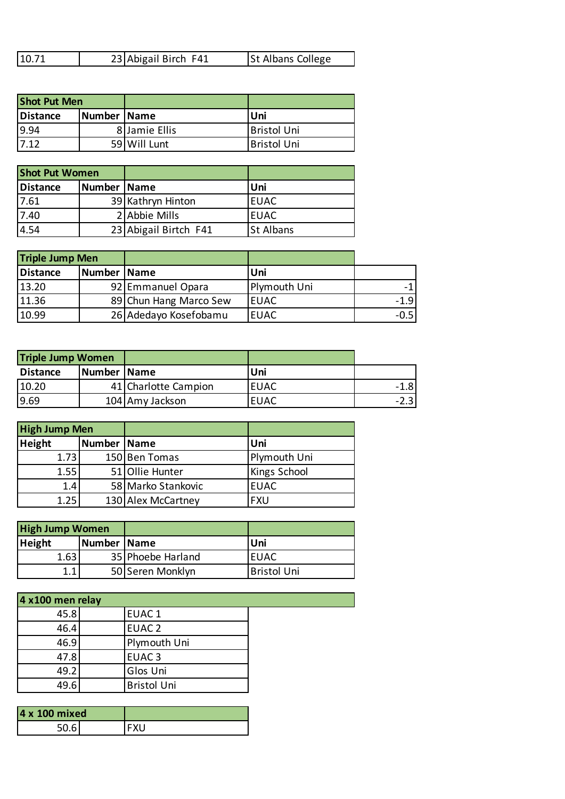| <b>Shot Put Men</b> |               |               |                    |
|---------------------|---------------|---------------|--------------------|
| <b>Distance</b>     | Number   Name |               | Uni                |
| 9.94                |               | 8 Jamie Ellis | <b>Bristol Uni</b> |
| 17.12               |               | 59 Will Lunt  | <b>Bristol Uni</b> |

| <b>Shot Put Women</b> |               |                       |                  |
|-----------------------|---------------|-----------------------|------------------|
| Distance              | Number   Name |                       | Uni              |
| 17.61                 |               | 39 Kathryn Hinton     | <b>EUAC</b>      |
| 7.40                  |               | 2 Abbie Mills         | <b>EUAC</b>      |
| 4.54                  |               | 23 Abigail Birtch F41 | <b>St Albans</b> |

| <b>Triple Jump Men</b> |               |                        |              |        |
|------------------------|---------------|------------------------|--------------|--------|
| Distance               | Number   Name |                        | Uni          |        |
| 13.20                  |               | 92 Emmanuel Opara      | Plymouth Uni |        |
| 11.36                  |               | 89 Chun Hang Marco Sew | <b>EUAC</b>  | $-1.9$ |
| 10.99                  |               | 26 Adedayo Kosefobamu  | <b>EUAC</b>  | $-0.5$ |

| <b>Triple Jump Women</b> |               |                      |             |        |
|--------------------------|---------------|----------------------|-------------|--------|
| <b>Distance</b>          | Number   Name |                      | Uni         |        |
| 10.20                    |               | 41 Charlotte Campion | <b>EUAC</b> | $-1.8$ |
| 9.69                     |               | 104 Amy Jackson      | <b>EUAC</b> |        |

| <b>High Jump Men</b> |               |                    |                     |
|----------------------|---------------|--------------------|---------------------|
| <b>Height</b>        | Number   Name |                    | Uni                 |
| 1.73                 |               | 150 Ben Tomas      | Plymouth Uni        |
| 1.55                 |               | 51 Ollie Hunter    | <b>Kings School</b> |
| 1.4                  |               | 58 Marko Stankovic | <b>EUAC</b>         |
| 1.25                 |               | 130 Alex McCartney | FXU                 |

| <b>High Jump Women</b> |               |                   |                    |
|------------------------|---------------|-------------------|--------------------|
| <b>Height</b>          | Number   Name |                   | Uni                |
| 1.63                   |               | 35 Phoebe Harland | IEUAC              |
| 1.1.                   |               | 50 Seren Monklyn  | <b>Bristol Uni</b> |

| 4 x100 men relay |                   |                    |  |
|------------------|-------------------|--------------------|--|
| 45.8             | EUAC <sub>1</sub> |                    |  |
| 46.4             |                   | EUAC <sub>2</sub>  |  |
| 46.9             |                   | Plymouth Uni       |  |
| 47.8             |                   | EUAC <sub>3</sub>  |  |
| 49.2             |                   | Glos Uni           |  |
| 49.6             |                   | <b>Bristol Uni</b> |  |
|                  |                   |                    |  |

| 4 x 100 mixed |  |
|---------------|--|
|               |  |